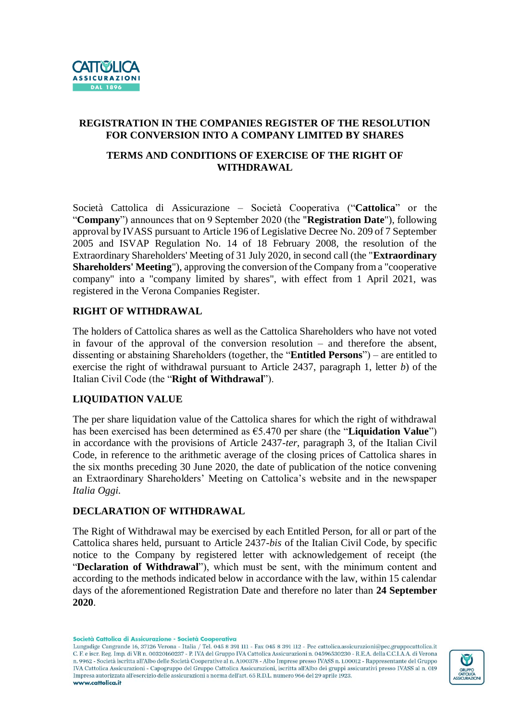

# **REGISTRATION IN THE COMPANIES REGISTER OF THE RESOLUTION FOR CONVERSION INTO A COMPANY LIMITED BY SHARES**

## **TERMS AND CONDITIONS OF EXERCISE OF THE RIGHT OF WITHDRAWAL**

Società Cattolica di Assicurazione – Società Cooperativa ("**Cattolica**" or the "**Company**") announces that on 9 September 2020 (the "**Registration Date**"), following approval by IVASS pursuant to Article 196 of Legislative Decree No. 209 of 7 September 2005 and ISVAP Regulation No. 14 of 18 February 2008, the resolution of the Extraordinary Shareholders' Meeting of 31 July 2020, in second call (the "**Extraordinary Shareholders' Meeting**"), approving the conversion of the Company from a "cooperative company" into a "company limited by shares", with effect from 1 April 2021, was registered in the Verona Companies Register.

## **RIGHT OF WITHDRAWAL**

The holders of Cattolica shares as well as the Cattolica Shareholders who have not voted in favour of the approval of the conversion resolution – and therefore the absent, dissenting or abstaining Shareholders (together, the "**Entitled Persons**") – are entitled to exercise the right of withdrawal pursuant to Article 2437, paragraph 1, letter *b*) of the Italian Civil Code (the "**Right of Withdrawal**").

## **LIQUIDATION VALUE**

The per share liquidation value of the Cattolica shares for which the right of withdrawal has been exercised has been determined as €5.470 per share (the "**Liquidation Value**") in accordance with the provisions of Article 2437-*ter*, paragraph 3, of the Italian Civil Code, in reference to the arithmetic average of the closing prices of Cattolica shares in the six months preceding 30 June 2020, the date of publication of the notice convening an Extraordinary Shareholders' Meeting on Cattolica's website and in the newspaper *Italia Oggi*.

#### **DECLARATION OF WITHDRAWAL**

The Right of Withdrawal may be exercised by each Entitled Person, for all or part of the Cattolica shares held, pursuant to Article 2437-*bis* of the Italian Civil Code, by specific notice to the Company by registered letter with acknowledgement of receipt (the "**Declaration of Withdrawal**"), which must be sent, with the minimum content and according to the methods indicated below in accordance with the law, within 15 calendar days of the aforementioned Registration Date and therefore no later than **24 September 2020**.

Società Cattolica di Assicurazione - Società Cooperativa

Lungadige Cangrande 16, 37126 Verona - Italia / Tel. 045 8 391 111 - Fax 045 8 391 112 - Pec cattolica.assicurazioni@pec.gruppocattolica.it C. F. e iscr. Reg. Imp. di VR n. 00320160237 - P. IVA del Gruppo IVA Cattolica Assicurazioni n. 04596530230 - R.E.A. della C.C.I.A.A. di Verona n. 9962 - Società iscritta all'Albo delle Società Cooperative al n. A100378 - Albo Imprese presso IVASS n. 1.00012 - Rappresentante del Gruppo IVA Cattolica Assicurazioni - Capogruppo del Gruppo Cattolica Assicurazioni, iscritta all'Albo dei gruppi assicurativi presso IVASS al n. 019 Impresa autorizzata all'esercizio delle assicurazioni a norma dell'art. 65 R.D.L. numero 966 del 29 aprile 1923. www.cattolica.it

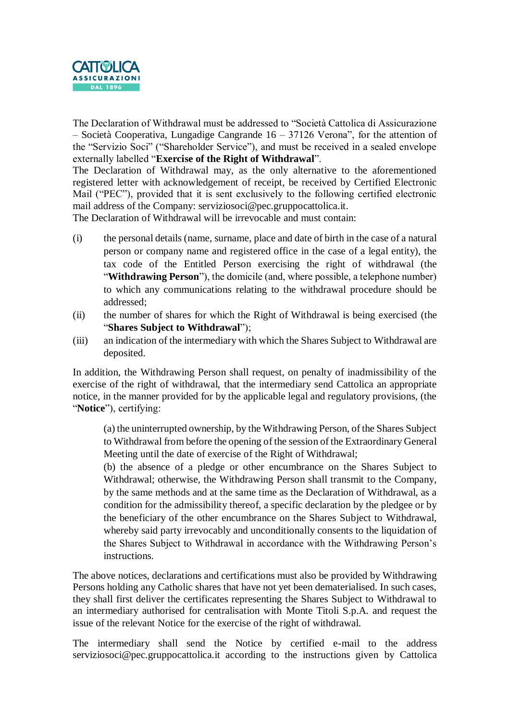

The Declaration of Withdrawal must be addressed to "Società Cattolica di Assicurazione – Società Cooperativa, Lungadige Cangrande 16 – 37126 Verona", for the attention of the "Servizio Soci" ("Shareholder Service"), and must be received in a sealed envelope externally labelled "**Exercise of the Right of Withdrawal**".

The Declaration of Withdrawal may, as the only alternative to the aforementioned registered letter with acknowledgement of receipt, be received by Certified Electronic Mail ("PEC"), provided that it is sent exclusively to the following certified electronic mail address of the Company: serviziosoci@pec.gruppocattolica.it.

The Declaration of Withdrawal will be irrevocable and must contain:

- (i) the personal details (name, surname, place and date of birth in the case of a natural person or company name and registered office in the case of a legal entity), the tax code of the Entitled Person exercising the right of withdrawal (the "**Withdrawing Person**"), the domicile (and, where possible, a telephone number) to which any communications relating to the withdrawal procedure should be addressed;
- (ii) the number of shares for which the Right of Withdrawal is being exercised (the "**Shares Subject to Withdrawal**");
- (iii) an indication of the intermediary with which the Shares Subject to Withdrawal are deposited.

In addition, the Withdrawing Person shall request, on penalty of inadmissibility of the exercise of the right of withdrawal, that the intermediary send Cattolica an appropriate notice, in the manner provided for by the applicable legal and regulatory provisions, (the "**Notice**"), certifying:

(a) the uninterrupted ownership, by the Withdrawing Person, of the Shares Subject to Withdrawal from before the opening of the session of the Extraordinary General Meeting until the date of exercise of the Right of Withdrawal;

(b) the absence of a pledge or other encumbrance on the Shares Subject to Withdrawal; otherwise, the Withdrawing Person shall transmit to the Company, by the same methods and at the same time as the Declaration of Withdrawal, as a condition for the admissibility thereof, a specific declaration by the pledgee or by the beneficiary of the other encumbrance on the Shares Subject to Withdrawal, whereby said party irrevocably and unconditionally consents to the liquidation of the Shares Subject to Withdrawal in accordance with the Withdrawing Person's instructions.

The above notices, declarations and certifications must also be provided by Withdrawing Persons holding any Catholic shares that have not yet been dematerialised. In such cases, they shall first deliver the certificates representing the Shares Subject to Withdrawal to an intermediary authorised for centralisation with Monte Titoli S.p.A. and request the issue of the relevant Notice for the exercise of the right of withdrawal.

The intermediary shall send the Notice by certified e-mail to the address serviziosoci@pec.gruppocattolica.it according to the instructions given by Cattolica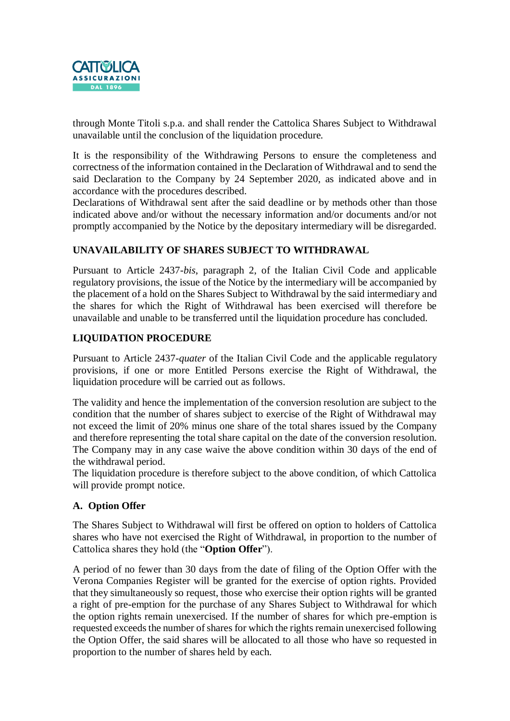

through Monte Titoli s.p.a. and shall render the Cattolica Shares Subject to Withdrawal unavailable until the conclusion of the liquidation procedure.

It is the responsibility of the Withdrawing Persons to ensure the completeness and correctness of the information contained in the Declaration of Withdrawal and to send the said Declaration to the Company by 24 September 2020, as indicated above and in accordance with the procedures described.

Declarations of Withdrawal sent after the said deadline or by methods other than those indicated above and/or without the necessary information and/or documents and/or not promptly accompanied by the Notice by the depositary intermediary will be disregarded.

# **UNAVAILABILITY OF SHARES SUBJECT TO WITHDRAWAL**

Pursuant to Article 2437-*bis*, paragraph 2, of the Italian Civil Code and applicable regulatory provisions, the issue of the Notice by the intermediary will be accompanied by the placement of a hold on the Shares Subject to Withdrawal by the said intermediary and the shares for which the Right of Withdrawal has been exercised will therefore be unavailable and unable to be transferred until the liquidation procedure has concluded.

# **LIQUIDATION PROCEDURE**

Pursuant to Article 2437-*quater* of the Italian Civil Code and the applicable regulatory provisions, if one or more Entitled Persons exercise the Right of Withdrawal, the liquidation procedure will be carried out as follows.

The validity and hence the implementation of the conversion resolution are subject to the condition that the number of shares subject to exercise of the Right of Withdrawal may not exceed the limit of 20% minus one share of the total shares issued by the Company and therefore representing the total share capital on the date of the conversion resolution. The Company may in any case waive the above condition within 30 days of the end of the withdrawal period.

The liquidation procedure is therefore subject to the above condition, of which Cattolica will provide prompt notice.

## **A. Option Offer**

The Shares Subject to Withdrawal will first be offered on option to holders of Cattolica shares who have not exercised the Right of Withdrawal, in proportion to the number of Cattolica shares they hold (the "**Option Offer**").

A period of no fewer than 30 days from the date of filing of the Option Offer with the Verona Companies Register will be granted for the exercise of option rights. Provided that they simultaneously so request, those who exercise their option rights will be granted a right of pre-emption for the purchase of any Shares Subject to Withdrawal for which the option rights remain unexercised. If the number of shares for which pre-emption is requested exceeds the number of shares for which the rights remain unexercised following the Option Offer, the said shares will be allocated to all those who have so requested in proportion to the number of shares held by each.